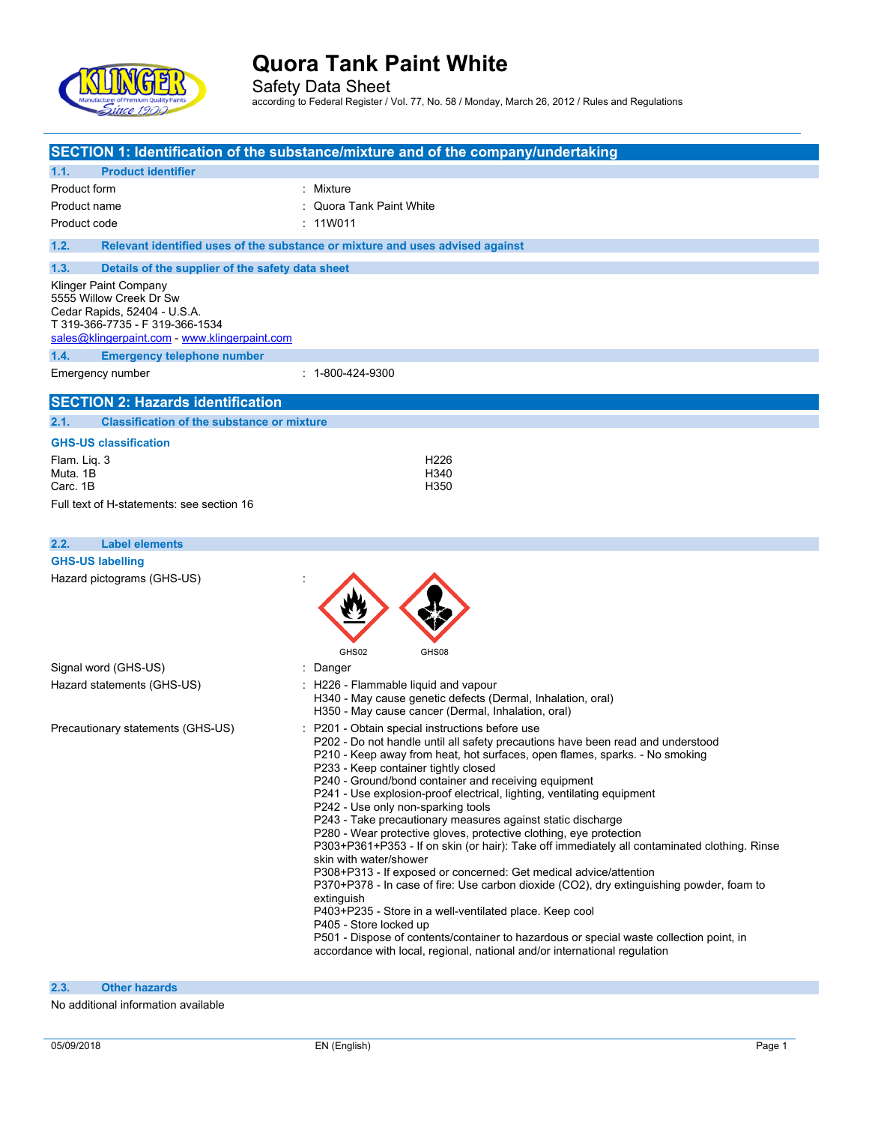

Safety Data Sheet according to Federal Register / Vol. 77, No. 58 / Monday, March 26, 2012 / Rules and Regulations

| <b>Product identifier</b><br>1.1.                                                 | SECTION 1: Identification of the substance/mixture and of the company/undertaking                                                                                    |
|-----------------------------------------------------------------------------------|----------------------------------------------------------------------------------------------------------------------------------------------------------------------|
| Product form                                                                      | : Mixture                                                                                                                                                            |
| Product name                                                                      | : Quora Tank Paint White                                                                                                                                             |
| Product code                                                                      | : 11W011                                                                                                                                                             |
| 1.2.                                                                              | Relevant identified uses of the substance or mixture and uses advised against                                                                                        |
|                                                                                   |                                                                                                                                                                      |
| 1.3.<br>Details of the supplier of the safety data sheet<br>Klinger Paint Company |                                                                                                                                                                      |
| 5555 Willow Creek Dr Sw                                                           |                                                                                                                                                                      |
| Cedar Rapids, 52404 - U.S.A.<br>T 319-366-7735 - F 319-366-1534                   |                                                                                                                                                                      |
| sales@klingerpaint.com - www.klingerpaint.com                                     |                                                                                                                                                                      |
| 1.4.<br><b>Emergency telephone number</b>                                         |                                                                                                                                                                      |
| Emergency number                                                                  | $: 1 - 800 - 424 - 9300$                                                                                                                                             |
| <b>SECTION 2: Hazards identification</b>                                          |                                                                                                                                                                      |
| 2.1.<br><b>Classification of the substance or mixture</b>                         |                                                                                                                                                                      |
| <b>GHS-US classification</b>                                                      |                                                                                                                                                                      |
| Flam. Lig. 3                                                                      | H <sub>226</sub>                                                                                                                                                     |
| Muta, 1B                                                                          | H340                                                                                                                                                                 |
| Carc. 1B                                                                          | H350                                                                                                                                                                 |
| Full text of H-statements: see section 16                                         |                                                                                                                                                                      |
|                                                                                   |                                                                                                                                                                      |
| 2.2.<br><b>Label elements</b>                                                     |                                                                                                                                                                      |
| <b>GHS-US labelling</b>                                                           |                                                                                                                                                                      |
| Hazard pictograms (GHS-US)                                                        |                                                                                                                                                                      |
|                                                                                   |                                                                                                                                                                      |
|                                                                                   |                                                                                                                                                                      |
|                                                                                   | GHS02<br>GHS08                                                                                                                                                       |
| Signal word (GHS-US)                                                              | : Danger                                                                                                                                                             |
| Hazard statements (GHS-US)                                                        | : H226 - Flammable liquid and vapour                                                                                                                                 |
|                                                                                   | H340 - May cause genetic defects (Dermal, Inhalation, oral)<br>H350 - May cause cancer (Dermal, Inhalation, oral)                                                    |
| Precautionary statements (GHS-US)                                                 | : P201 - Obtain special instructions before use                                                                                                                      |
|                                                                                   | P202 - Do not handle until all safety precautions have been read and understood                                                                                      |
|                                                                                   | P210 - Keep away from heat, hot surfaces, open flames, sparks. - No smoking<br>P233 - Keep container tightly closed                                                  |
|                                                                                   | P240 - Ground/bond container and receiving equipment                                                                                                                 |
|                                                                                   | P241 - Use explosion-proof electrical, lighting, ventilating equipment                                                                                               |
|                                                                                   | P242 - Use only non-sparking tools<br>P243 - Take precautionary measures against static discharge                                                                    |
|                                                                                   | P280 - Wear protective gloves, protective clothing, eye protection                                                                                                   |
|                                                                                   | P303+P361+P353 - If on skin (or hair): Take off immediately all contaminated clothing. Rinse<br>skin with water/shower                                               |
|                                                                                   | P308+P313 - If exposed or concerned: Get medical advice/attention                                                                                                    |
|                                                                                   | P370+P378 - In case of fire: Use carbon dioxide (CO2), dry extinguishing powder, foam to<br>extinguish                                                               |
|                                                                                   | P403+P235 - Store in a well-ventilated place. Keep cool                                                                                                              |
|                                                                                   | P405 - Store locked up                                                                                                                                               |
|                                                                                   | P501 - Dispose of contents/container to hazardous or special waste collection point, in<br>accordance with local, regional, national and/or international regulation |
|                                                                                   |                                                                                                                                                                      |
| 2.3.<br><b>Other hazards</b>                                                      |                                                                                                                                                                      |

No additional information available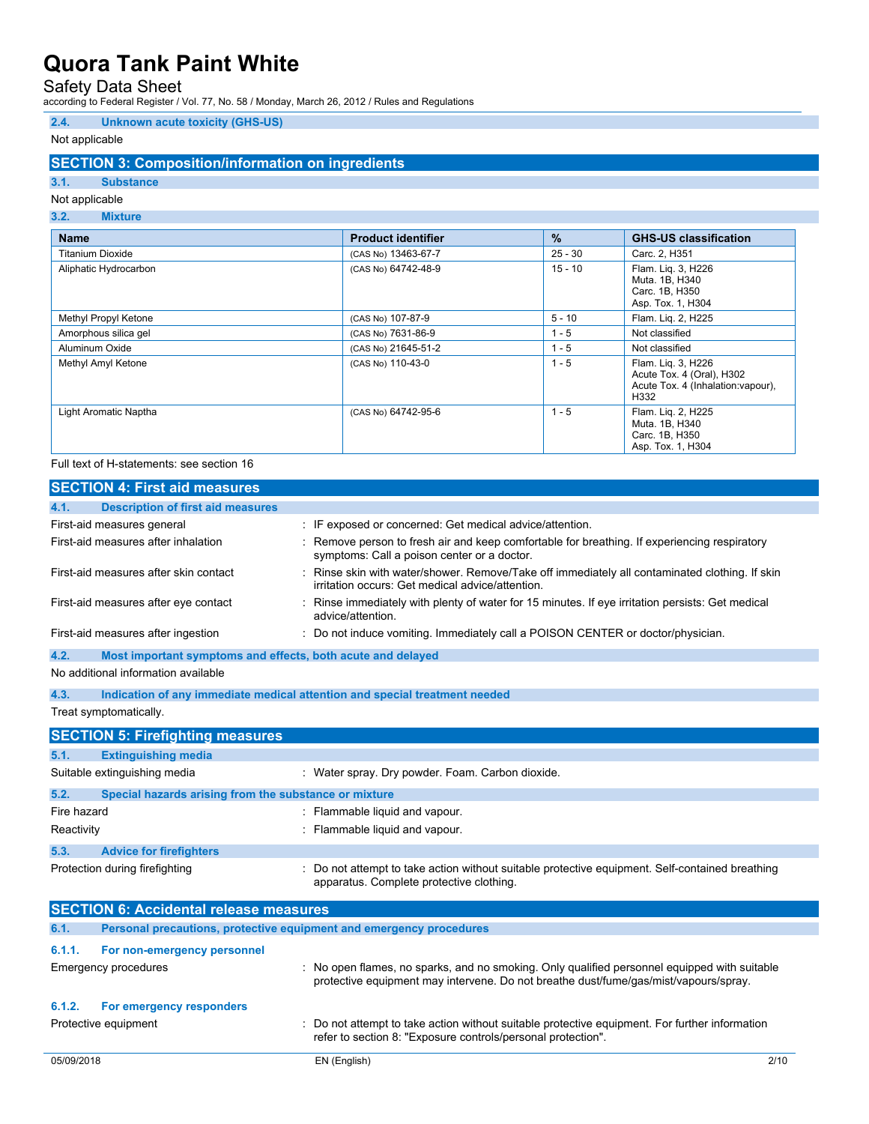## Safety Data Sheet

according to Federal Register / Vol. 77, No. 58 / Monday, March 26, 2012 / Rules and Regulations

### **2.4. Unknown acute toxicity (GHS-US)**

### Not applicable

### **SECTION 3: Composition/information on ingredients**

## **3.1. Substance**

#### Not applicable **3.2. Mixture**

| 9.6.<br><b>IVIIALUI U</b> |                           |               |                                                                                               |
|---------------------------|---------------------------|---------------|-----------------------------------------------------------------------------------------------|
| <b>Name</b>               | <b>Product identifier</b> | $\frac{9}{6}$ | <b>GHS-US classification</b>                                                                  |
| Titanium Dioxide          | (CAS No) 13463-67-7       | $25 - 30$     | Carc. 2, H351                                                                                 |
| Aliphatic Hydrocarbon     | (CAS No) 64742-48-9       | $15 - 10$     | Flam. Lig. 3, H226<br>Muta, 1B, H340<br>Carc. 1B, H350<br>Asp. Tox. 1, H304                   |
| Methyl Propyl Ketone      | (CAS No) 107-87-9         | $5 - 10$      | Flam. Lig. 2, H225                                                                            |
| Amorphous silica gel      | (CAS No) 7631-86-9        | $1 - 5$       | Not classified                                                                                |
| Aluminum Oxide            | (CAS No) 21645-51-2       | $1 - 5$       | Not classified                                                                                |
| Methyl Amyl Ketone        | (CAS No) 110-43-0         | $1 - 5$       | Flam. Lig. 3, H226<br>Acute Tox. 4 (Oral), H302<br>Acute Tox. 4 (Inhalation: vapour),<br>H332 |
| Light Aromatic Naptha     | (CAS No) 64742-95-6       | $1 - 5$       | Flam. Lig. 2, H225<br>Muta. 1B, H340<br>Carc. 1B, H350<br>Asp. Tox. 1, H304                   |

#### Full text of H-statements: see section 16

|             | <b>SECTION 4: First aid measures</b>                                       |  |                                                                                                                                                  |
|-------------|----------------------------------------------------------------------------|--|--------------------------------------------------------------------------------------------------------------------------------------------------|
| 4.1.        | <b>Description of first aid measures</b>                                   |  |                                                                                                                                                  |
|             | First-aid measures general                                                 |  | : IF exposed or concerned: Get medical advice/attention.                                                                                         |
|             | First-aid measures after inhalation                                        |  | : Remove person to fresh air and keep comfortable for breathing. If experiencing respiratory<br>symptoms: Call a poison center or a doctor.      |
|             | First-aid measures after skin contact                                      |  | Rinse skin with water/shower. Remove/Take off immediately all contaminated clothing. If skin<br>irritation occurs: Get medical advice/attention. |
|             | First-aid measures after eye contact                                       |  | : Rinse immediately with plenty of water for 15 minutes. If eye irritation persists: Get medical<br>advice/attention.                            |
|             | First-aid measures after ingestion                                         |  | : Do not induce vomiting. Immediately call a POISON CENTER or doctor/physician.                                                                  |
| 4.2.        | Most important symptoms and effects, both acute and delayed                |  |                                                                                                                                                  |
|             | No additional information available                                        |  |                                                                                                                                                  |
| 4.3.        | Indication of any immediate medical attention and special treatment needed |  |                                                                                                                                                  |
|             | Treat symptomatically.                                                     |  |                                                                                                                                                  |
|             | <b>SECTION 5: Firefighting measures</b>                                    |  |                                                                                                                                                  |
| 5.1.        | <b>Extinguishing media</b>                                                 |  |                                                                                                                                                  |
|             | Suitable extinguishing media                                               |  | : Water spray. Dry powder. Foam. Carbon dioxide.                                                                                                 |
| 5.2.        | Special hazards arising from the substance or mixture                      |  |                                                                                                                                                  |
| Fire hazard |                                                                            |  | : Flammable liquid and vapour.                                                                                                                   |
| Reactivity  |                                                                            |  | : Flammable liquid and vapour.                                                                                                                   |
| 5.3.        | <b>Advice for firefighters</b>                                             |  |                                                                                                                                                  |
|             | Protection during firefighting                                             |  | : Do not attempt to take action without suitable protective equipment. Self-contained breathing                                                  |

|            | <b>SECTION 6: Accidental release measures</b>                       |                                                                                                                                                                                    |      |
|------------|---------------------------------------------------------------------|------------------------------------------------------------------------------------------------------------------------------------------------------------------------------------|------|
| 6.1.       | Personal precautions, protective equipment and emergency procedures |                                                                                                                                                                                    |      |
| 6.1.1.     | For non-emergency personnel                                         |                                                                                                                                                                                    |      |
|            | Emergency procedures                                                | No open flames, no sparks, and no smoking. Only qualified personnel equipped with suitable<br>protective equipment may intervene. Do not breathe dust/fume/gas/mist/vapours/spray. |      |
| 6.1.2.     | For emergency responders                                            |                                                                                                                                                                                    |      |
|            | Protective equipment                                                | : Do not attempt to take action without suitable protective equipment. For further information<br>refer to section 8: "Exposure controls/personal protection".                     |      |
| 05/09/2018 |                                                                     | EN (English)                                                                                                                                                                       | 2/10 |

apparatus. Complete protective clothing.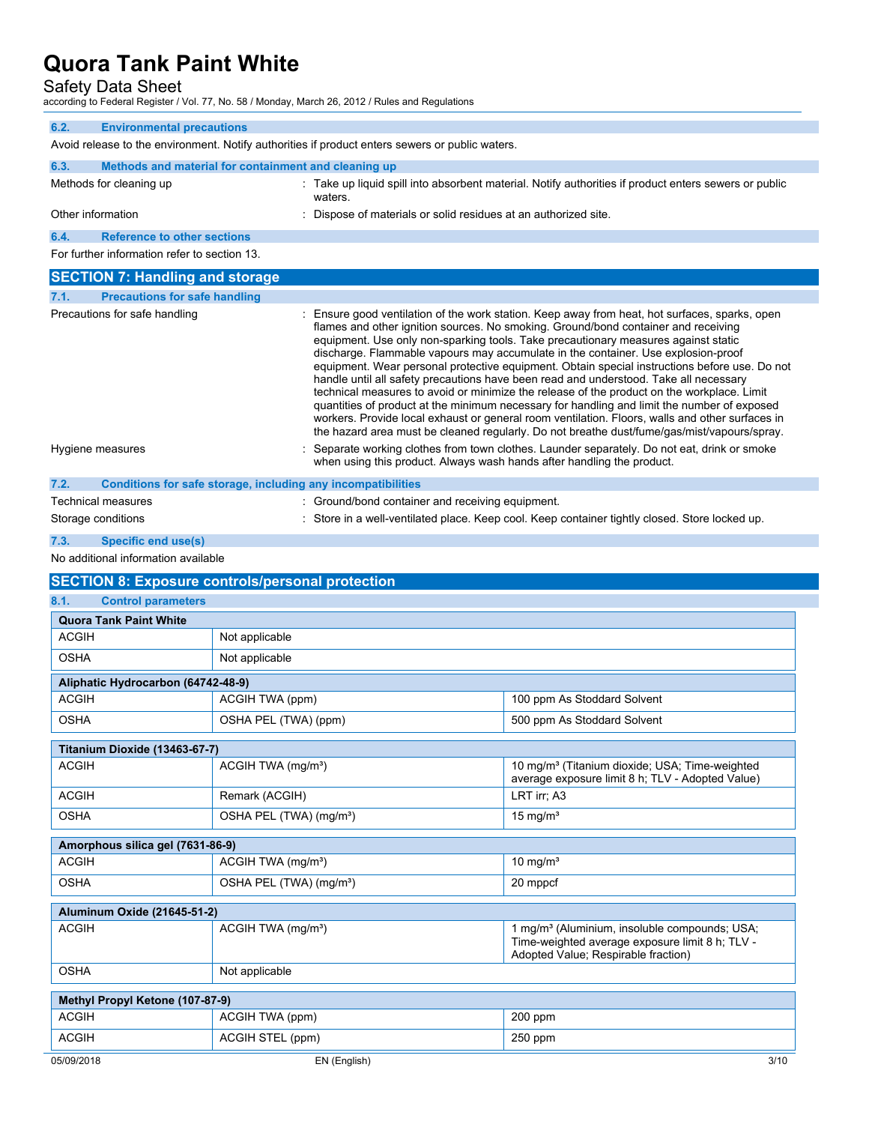Safety Data Sheet

according to Federal Register / Vol. 77, No. 58 / Monday, March 26, 2012 / Rules and Regulations

| 6.2.              | <b>Environmental precautions</b>                                                                |                                                                                                                                                                                                                                                                                                                                                                                                                                                                                                                                                                                                                                                                                                                                                                                                                                                                                                                                                          |  |  |
|-------------------|-------------------------------------------------------------------------------------------------|----------------------------------------------------------------------------------------------------------------------------------------------------------------------------------------------------------------------------------------------------------------------------------------------------------------------------------------------------------------------------------------------------------------------------------------------------------------------------------------------------------------------------------------------------------------------------------------------------------------------------------------------------------------------------------------------------------------------------------------------------------------------------------------------------------------------------------------------------------------------------------------------------------------------------------------------------------|--|--|
|                   | Avoid release to the environment. Notify authorities if product enters sewers or public waters. |                                                                                                                                                                                                                                                                                                                                                                                                                                                                                                                                                                                                                                                                                                                                                                                                                                                                                                                                                          |  |  |
| 6.3.              | Methods and material for containment and cleaning up                                            |                                                                                                                                                                                                                                                                                                                                                                                                                                                                                                                                                                                                                                                                                                                                                                                                                                                                                                                                                          |  |  |
|                   | Methods for cleaning up                                                                         | : Take up liquid spill into absorbent material. Notify authorities if product enters sewers or public<br>waters.                                                                                                                                                                                                                                                                                                                                                                                                                                                                                                                                                                                                                                                                                                                                                                                                                                         |  |  |
| Other information |                                                                                                 | : Dispose of materials or solid residues at an authorized site.                                                                                                                                                                                                                                                                                                                                                                                                                                                                                                                                                                                                                                                                                                                                                                                                                                                                                          |  |  |
| 6.4.              | <b>Reference to other sections</b>                                                              |                                                                                                                                                                                                                                                                                                                                                                                                                                                                                                                                                                                                                                                                                                                                                                                                                                                                                                                                                          |  |  |
|                   | For further information refer to section 13.                                                    |                                                                                                                                                                                                                                                                                                                                                                                                                                                                                                                                                                                                                                                                                                                                                                                                                                                                                                                                                          |  |  |
|                   | <b>SECTION 7: Handling and storage</b>                                                          |                                                                                                                                                                                                                                                                                                                                                                                                                                                                                                                                                                                                                                                                                                                                                                                                                                                                                                                                                          |  |  |
| 7.1.              | <b>Precautions for safe handling</b>                                                            |                                                                                                                                                                                                                                                                                                                                                                                                                                                                                                                                                                                                                                                                                                                                                                                                                                                                                                                                                          |  |  |
|                   | Precautions for safe handling                                                                   | : Ensure good ventilation of the work station. Keep away from heat, hot surfaces, sparks, open<br>flames and other ignition sources. No smoking. Ground/bond container and receiving<br>equipment. Use only non-sparking tools. Take precautionary measures against static<br>discharge. Flammable vapours may accumulate in the container. Use explosion-proof<br>equipment. Wear personal protective equipment. Obtain special instructions before use. Do not<br>handle until all safety precautions have been read and understood. Take all necessary<br>technical measures to avoid or minimize the release of the product on the workplace. Limit<br>quantities of product at the minimum necessary for handling and limit the number of exposed<br>workers. Provide local exhaust or general room ventilation. Floors, walls and other surfaces in<br>the hazard area must be cleaned regularly. Do not breathe dust/fume/gas/mist/vapours/spray. |  |  |
| Hygiene measures  |                                                                                                 | Separate working clothes from town clothes. Launder separately. Do not eat, drink or smoke<br>when using this product. Always wash hands after handling the product.                                                                                                                                                                                                                                                                                                                                                                                                                                                                                                                                                                                                                                                                                                                                                                                     |  |  |
| 7.2.              | Conditions for safe storage, including any incompatibilities                                    |                                                                                                                                                                                                                                                                                                                                                                                                                                                                                                                                                                                                                                                                                                                                                                                                                                                                                                                                                          |  |  |
|                   | <b>Technical measures</b>                                                                       | : Ground/bond container and receiving equipment.                                                                                                                                                                                                                                                                                                                                                                                                                                                                                                                                                                                                                                                                                                                                                                                                                                                                                                         |  |  |

Storage conditions **in a well-ventilated place.** Keep cool. Keep container tightly closed. Store locked up.

## **7.3. Specific end use(s)**

No additional information available

## **SECTION 8: Exposure controls/personal protection**

| 8.1.<br><b>Control parameters</b>  |                                     |                                                                                                                                                     |  |
|------------------------------------|-------------------------------------|-----------------------------------------------------------------------------------------------------------------------------------------------------|--|
| <b>Quora Tank Paint White</b>      |                                     |                                                                                                                                                     |  |
| <b>ACGIH</b>                       | Not applicable                      |                                                                                                                                                     |  |
| <b>OSHA</b>                        | Not applicable                      |                                                                                                                                                     |  |
| Aliphatic Hydrocarbon (64742-48-9) |                                     |                                                                                                                                                     |  |
| <b>ACGIH</b>                       | ACGIH TWA (ppm)                     | 100 ppm As Stoddard Solvent                                                                                                                         |  |
| <b>OSHA</b>                        | OSHA PEL (TWA) (ppm)                | 500 ppm As Stoddard Solvent                                                                                                                         |  |
| Titanium Dioxide (13463-67-7)      |                                     |                                                                                                                                                     |  |
| <b>ACGIH</b>                       | ACGIH TWA (mg/m <sup>3</sup> )      | 10 mg/m <sup>3</sup> (Titanium dioxide: USA: Time-weighted<br>average exposure limit 8 h; TLV - Adopted Value)                                      |  |
| <b>ACGIH</b>                       | Remark (ACGIH)                      | LRT irr; A3                                                                                                                                         |  |
| <b>OSHA</b>                        | OSHA PEL (TWA) (mg/m <sup>3</sup> ) | 15 mg/ $m3$                                                                                                                                         |  |
| Amorphous silica gel (7631-86-9)   |                                     |                                                                                                                                                     |  |
| <b>ACGIH</b>                       | ACGIH TWA (mg/m <sup>3</sup> )      | 10 mg/ $m3$                                                                                                                                         |  |
| <b>OSHA</b>                        | OSHA PEL (TWA) (mg/m <sup>3</sup> ) | 20 mppcf                                                                                                                                            |  |
| Aluminum Oxide (21645-51-2)        |                                     |                                                                                                                                                     |  |
| <b>ACGIH</b>                       | ACGIH TWA (mg/m <sup>3</sup> )      | 1 mg/m <sup>3</sup> (Aluminium, insoluble compounds; USA;<br>Time-weighted average exposure limit 8 h; TLV -<br>Adopted Value; Respirable fraction) |  |
| <b>OSHA</b>                        | Not applicable                      |                                                                                                                                                     |  |
| Methyl Propyl Ketone (107-87-9)    |                                     |                                                                                                                                                     |  |
| <b>ACGIH</b>                       | ACGIH TWA (ppm)                     | 200 ppm                                                                                                                                             |  |

| <b>ACGIH</b> | (ppm)<br><u>л</u> | $\sim$ $\sim$<br>ppm<br>$m_{\rm H}$ |      |
|--------------|-------------------|-------------------------------------|------|
| 05/09/2018   | riv (English) اس  |                                     | 3/10 |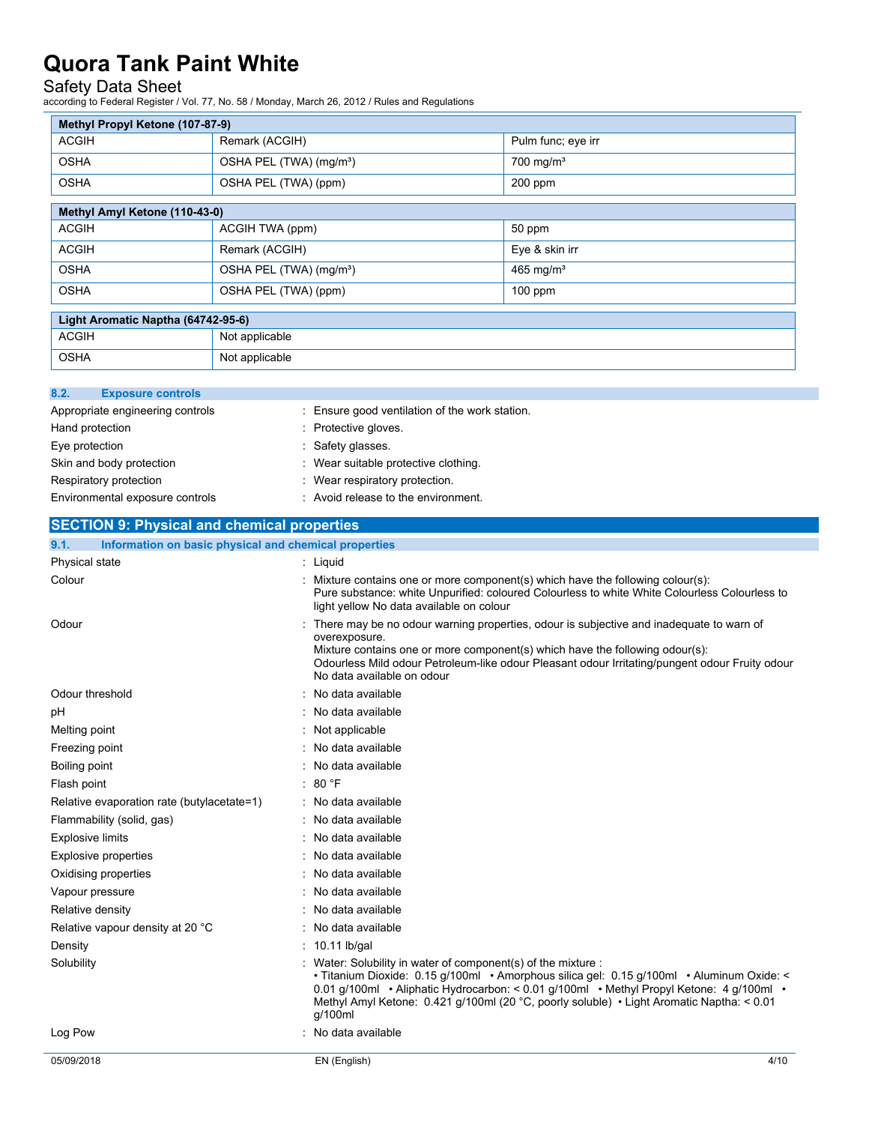### Safety Data Sheet

according to Federal Register / Vol. 77, No. 58 / Monday, March 26, 2012 / Rules and Regulations

| Methyl Propyl Ketone (107-87-9)    |                                     |                         |  |  |
|------------------------------------|-------------------------------------|-------------------------|--|--|
| <b>ACGIH</b>                       | Remark (ACGIH)                      | Pulm func; eye irr      |  |  |
| <b>OSHA</b>                        | OSHA PEL (TWA) (mg/m <sup>3</sup> ) | $700$ mg/m <sup>3</sup> |  |  |
| <b>OSHA</b>                        | OSHA PEL (TWA) (ppm)                | $200$ ppm               |  |  |
|                                    |                                     |                         |  |  |
| Methyl Amyl Ketone (110-43-0)      |                                     |                         |  |  |
| <b>ACGIH</b>                       | ACGIH TWA (ppm)                     | 50 ppm                  |  |  |
| <b>ACGIH</b>                       | Remark (ACGIH)                      | Eye & skin irr          |  |  |
| <b>OSHA</b>                        | OSHA PEL (TWA) (mg/m <sup>3</sup> ) | 465 mg/ $m3$            |  |  |
| <b>OSHA</b>                        | OSHA PEL (TWA) (ppm)                | $100$ ppm               |  |  |
| Light Aromatic Naptha (64742-95-6) |                                     |                         |  |  |
|                                    |                                     |                         |  |  |

| Light Aromatic Naptha (64742-95-6) |                |  |
|------------------------------------|----------------|--|
| <b>ACGIH</b>                       | Not applicable |  |
| <b>OSHA</b>                        | Not applicable |  |

| 8.2.<br><b>Exposure controls</b> |                                                |
|----------------------------------|------------------------------------------------|
| Appropriate engineering controls | : Ensure good ventilation of the work station. |
| Hand protection                  | : Protective gloves.                           |
| Eye protection                   | : Safety glasses.                              |
| Skin and body protection         | : Wear suitable protective clothing.           |
| Respiratory protection           | : Wear respiratory protection.                 |
| Environmental exposure controls  | : Avoid release to the environment.            |

| <b>SECTION 9: Physical and chemical properties</b>            |                                                                                                                                                                                                                                                                                                                                                              |
|---------------------------------------------------------------|--------------------------------------------------------------------------------------------------------------------------------------------------------------------------------------------------------------------------------------------------------------------------------------------------------------------------------------------------------------|
| 9.1.<br>Information on basic physical and chemical properties |                                                                                                                                                                                                                                                                                                                                                              |
| Physical state                                                | : Liquid                                                                                                                                                                                                                                                                                                                                                     |
| Colour                                                        | : Mixture contains one or more component(s) which have the following colour(s):<br>Pure substance: white Unpurified: coloured Colourless to white White Colourless Colourless to<br>light yellow No data available on colour                                                                                                                                 |
| Odour                                                         | There may be no odour warning properties, odour is subjective and inadequate to warn of<br>overexposure.<br>Mixture contains one or more component(s) which have the following odour(s):<br>Odourless Mild odour Petroleum-like odour Pleasant odour Irritating/pungent odour Fruity odour<br>No data available on odour                                     |
| Odour threshold                                               | No data available                                                                                                                                                                                                                                                                                                                                            |
| pH                                                            | No data available                                                                                                                                                                                                                                                                                                                                            |
| Melting point                                                 | Not applicable                                                                                                                                                                                                                                                                                                                                               |
| Freezing point                                                | No data available                                                                                                                                                                                                                                                                                                                                            |
| Boiling point                                                 | No data available                                                                                                                                                                                                                                                                                                                                            |
| Flash point                                                   | : 80 °F                                                                                                                                                                                                                                                                                                                                                      |
| Relative evaporation rate (butylacetate=1)                    | : No data available                                                                                                                                                                                                                                                                                                                                          |
| Flammability (solid, gas)                                     | : No data available                                                                                                                                                                                                                                                                                                                                          |
| <b>Explosive limits</b>                                       | No data available                                                                                                                                                                                                                                                                                                                                            |
| <b>Explosive properties</b>                                   | No data available                                                                                                                                                                                                                                                                                                                                            |
| Oxidising properties                                          | No data available                                                                                                                                                                                                                                                                                                                                            |
| Vapour pressure                                               | No data available                                                                                                                                                                                                                                                                                                                                            |
| Relative density                                              | No data available                                                                                                                                                                                                                                                                                                                                            |
| Relative vapour density at 20 °C                              | No data available                                                                                                                                                                                                                                                                                                                                            |
| Density                                                       | $: 10.11$ lb/gal                                                                                                                                                                                                                                                                                                                                             |
| Solubility                                                    | Water: Solubility in water of component(s) of the mixture :<br>• Titanium Dioxide: 0.15 g/100ml • Amorphous silica gel: 0.15 g/100ml • Aluminum Oxide: <<br>0.01 q/100ml • Aliphatic Hydrocarbon: < 0.01 q/100ml • Methyl Propyl Ketone: 4 q/100ml •<br>Methyl Amyl Ketone: 0.421 g/100ml (20 °C, poorly soluble) • Light Aromatic Naptha: < 0.01<br>q/100ml |
| Log Pow                                                       | No data available                                                                                                                                                                                                                                                                                                                                            |
| 05/09/2018                                                    | 4/10<br>EN (English)                                                                                                                                                                                                                                                                                                                                         |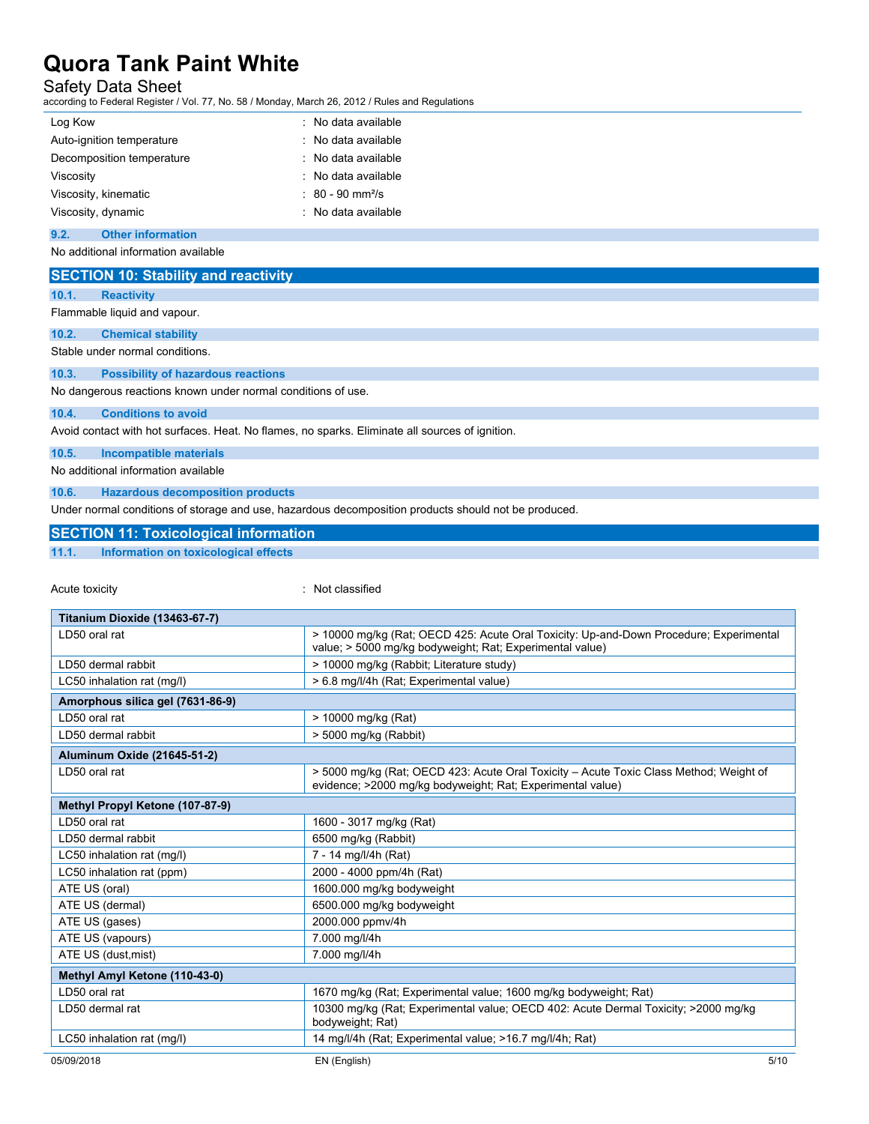### Safety Data Sheet

according to Federal Register / Vol. 77, No. 58 / Monday, March 26, 2012 / Rules and Regulations

| Log Kow                   | : No data available            |
|---------------------------|--------------------------------|
| Auto-ignition temperature | : No data available            |
| Decomposition temperature | : No data available            |
| Viscosity                 | : No data available            |
| Viscosity, kinematic      | $: 80 - 90$ mm <sup>2</sup> /s |
| Viscosity, dynamic        | : No data available            |

### **9.2. Other information**

No additional information available

### **SECTION 10: Stability and reactivity**

**10.1. Reactivity**

Flammable liquid and vapour.

### **10.2. Chemical stability**

Stable under normal conditions.

### **10.3. Possibility of hazardous reactions**

No dangerous reactions known under normal conditions of use.

#### **10.4. Conditions to avoid**

Avoid contact with hot surfaces. Heat. No flames, no sparks. Eliminate all sources of ignition.

**10.5. Incompatible materials**

No additional information available

**10.6. Hazardous decomposition products**

Under normal conditions of storage and use, hazardous decomposition products should not be produced.

### **SECTION 11: Toxicological information**

**11.1. Information on toxicological effects**

Acute toxicity in the contract of the contract of the contract of the contract of the contract of the contract of the contract of the contract of the contract of the contract of the contract of the contract of the contract

| Titanium Dioxide (13463-67-7)    |                                                                                                                                                      |  |
|----------------------------------|------------------------------------------------------------------------------------------------------------------------------------------------------|--|
| LD50 oral rat                    | > 10000 mg/kg (Rat; OECD 425: Acute Oral Toxicity: Up-and-Down Procedure; Experimental<br>value; > 5000 mg/kg bodyweight; Rat; Experimental value)   |  |
| LD50 dermal rabbit               | > 10000 mg/kg (Rabbit; Literature study)                                                                                                             |  |
| LC50 inhalation rat (mg/l)       | > 6.8 mg/l/4h (Rat; Experimental value)                                                                                                              |  |
| Amorphous silica gel (7631-86-9) |                                                                                                                                                      |  |
| LD50 oral rat                    | > 10000 mg/kg (Rat)                                                                                                                                  |  |
| LD50 dermal rabbit               | > 5000 mg/kg (Rabbit)                                                                                                                                |  |
| Aluminum Oxide (21645-51-2)      |                                                                                                                                                      |  |
| LD50 oral rat                    | > 5000 mg/kg (Rat; OECD 423: Acute Oral Toxicity – Acute Toxic Class Method; Weight of<br>evidence; >2000 mg/kg bodyweight; Rat; Experimental value) |  |
| Methyl Propyl Ketone (107-87-9)  |                                                                                                                                                      |  |
| LD50 oral rat                    | 1600 - 3017 mg/kg (Rat)                                                                                                                              |  |
| LD50 dermal rabbit               | 6500 mg/kg (Rabbit)                                                                                                                                  |  |
| LC50 inhalation rat (mg/l)       | 7 - 14 mg/l/4h (Rat)                                                                                                                                 |  |
| LC50 inhalation rat (ppm)        | 2000 - 4000 ppm/4h (Rat)                                                                                                                             |  |
| ATE US (oral)                    | 1600.000 mg/kg bodyweight                                                                                                                            |  |
| ATE US (dermal)                  | 6500.000 mg/kg bodyweight                                                                                                                            |  |
| ATE US (gases)                   | 2000.000 ppmv/4h                                                                                                                                     |  |
| ATE US (vapours)                 | 7.000 mg/l/4h                                                                                                                                        |  |
| ATE US (dust, mist)              | 7.000 mg/l/4h                                                                                                                                        |  |
| Methyl Amyl Ketone (110-43-0)    |                                                                                                                                                      |  |
| LD50 oral rat                    | 1670 mg/kg (Rat; Experimental value; 1600 mg/kg bodyweight; Rat)                                                                                     |  |
| LD50 dermal rat                  | 10300 mg/kg (Rat; Experimental value; OECD 402: Acute Dermal Toxicity; >2000 mg/kg<br>bodyweight; Rat)                                               |  |
| LC50 inhalation rat (mg/l)       | 14 mg/l/4h (Rat: Experimental value: >16.7 mg/l/4h; Rat)                                                                                             |  |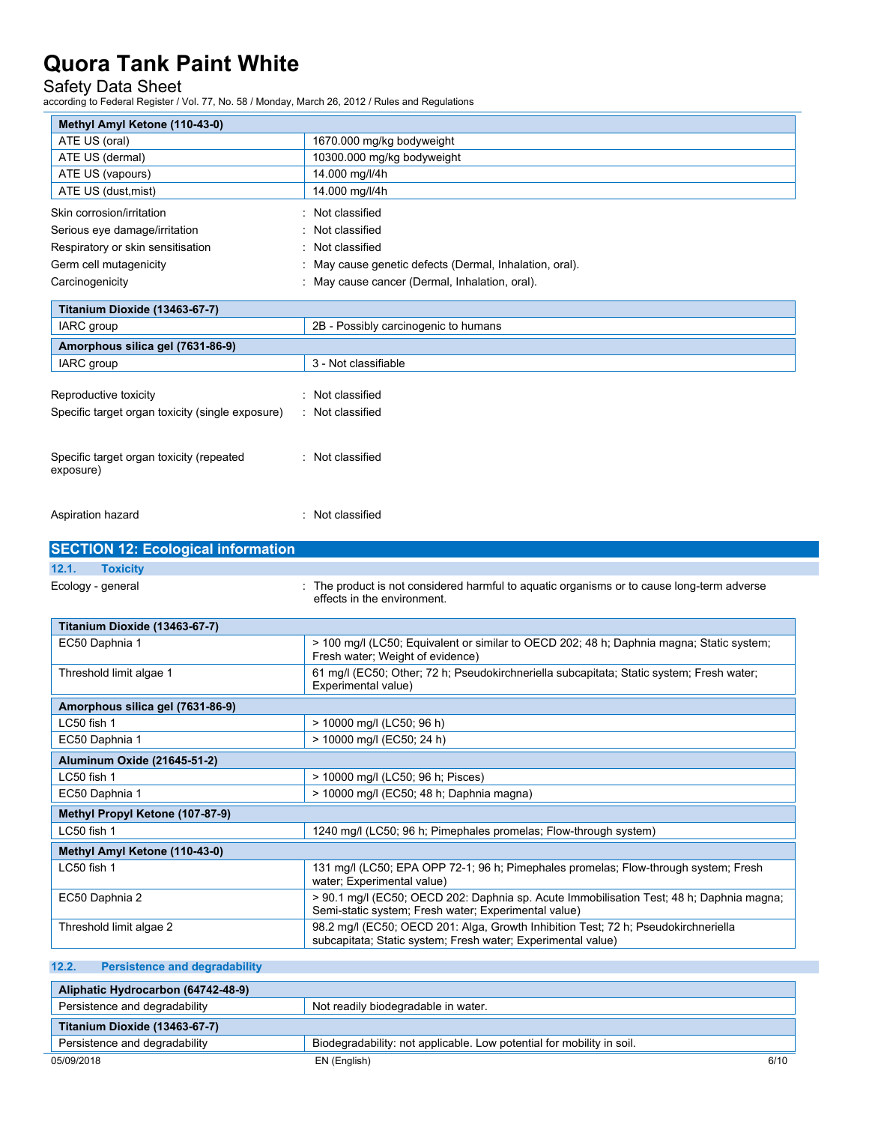## Safety Data Sheet

according to Federal Register / Vol. 77, No. 58 / Monday, March 26, 2012 / Rules and Regulations

| Methyl Amyl Ketone (110-43-0)                                        |                                                                                                                                                                                                            |  |
|----------------------------------------------------------------------|------------------------------------------------------------------------------------------------------------------------------------------------------------------------------------------------------------|--|
| ATE US (oral)                                                        | 1670.000 mg/kg bodyweight                                                                                                                                                                                  |  |
| ATE US (dermal)                                                      | 10300.000 mg/kg bodyweight                                                                                                                                                                                 |  |
| ATE US (vapours)                                                     | 14.000 mg/l/4h                                                                                                                                                                                             |  |
| ATE US (dust, mist)                                                  | 14.000 mg/l/4h                                                                                                                                                                                             |  |
| Skin corrosion/irritation<br>Not classified                          |                                                                                                                                                                                                            |  |
| Not classified<br>Serious eye damage/irritation                      |                                                                                                                                                                                                            |  |
| Respiratory or skin sensitisation                                    | Not classified                                                                                                                                                                                             |  |
| Germ cell mutagenicity                                               | May cause genetic defects (Dermal, Inhalation, oral).                                                                                                                                                      |  |
| Carcinogenicity                                                      | : May cause cancer (Dermal, Inhalation, oral).                                                                                                                                                             |  |
| Titanium Dioxide (13463-67-7)                                        |                                                                                                                                                                                                            |  |
| IARC group                                                           | 2B - Possibly carcinogenic to humans                                                                                                                                                                       |  |
| Amorphous silica gel (7631-86-9)                                     |                                                                                                                                                                                                            |  |
| IARC group                                                           | 3 - Not classifiable                                                                                                                                                                                       |  |
|                                                                      |                                                                                                                                                                                                            |  |
| Reproductive toxicity                                                | : Not classified                                                                                                                                                                                           |  |
| Specific target organ toxicity (single exposure)                     | : Not classified                                                                                                                                                                                           |  |
|                                                                      |                                                                                                                                                                                                            |  |
| Specific target organ toxicity (repeated<br>exposure)                | : Not classified                                                                                                                                                                                           |  |
| Aspiration hazard                                                    | : Not classified                                                                                                                                                                                           |  |
|                                                                      |                                                                                                                                                                                                            |  |
|                                                                      |                                                                                                                                                                                                            |  |
| 12.1.<br><b>Toxicity</b>                                             |                                                                                                                                                                                                            |  |
|                                                                      | : The product is not considered harmful to aquatic organisms or to cause long-term adverse<br>effects in the environment.                                                                                  |  |
|                                                                      |                                                                                                                                                                                                            |  |
| Ecology - general<br>Titanium Dioxide (13463-67-7)<br>EC50 Daphnia 1 | > 100 mg/l (LC50; Equivalent or similar to OECD 202; 48 h; Daphnia magna; Static system;                                                                                                                   |  |
| Threshold limit algae 1                                              | Fresh water; Weight of evidence)<br>61 mg/l (EC50; Other; 72 h; Pseudokirchneriella subcapitata; Static system; Fresh water;                                                                               |  |
|                                                                      | Experimental value)                                                                                                                                                                                        |  |
| Amorphous silica gel (7631-86-9)                                     |                                                                                                                                                                                                            |  |
| LC50 fish 1                                                          | > 10000 mg/l (LC50; 96 h)                                                                                                                                                                                  |  |
| EC50 Daphnia 1                                                       | > 10000 mg/l (EC50; 24 h)                                                                                                                                                                                  |  |
| Aluminum Oxide (21645-51-2)                                          |                                                                                                                                                                                                            |  |
| LC50 fish 1                                                          | > 10000 mg/l (LC50; 96 h; Pisces)                                                                                                                                                                          |  |
| EC50 Daphnia 1                                                       | > 10000 mg/l (EC50; 48 h; Daphnia magna)                                                                                                                                                                   |  |
| Methyl Propyl Ketone (107-87-9)                                      |                                                                                                                                                                                                            |  |
| LC50 fish 1                                                          | 1240 mg/l (LC50; 96 h; Pimephales promelas; Flow-through system)                                                                                                                                           |  |
| Methyl Amyl Ketone (110-43-0)                                        |                                                                                                                                                                                                            |  |
| LC50 fish 1                                                          | 131 mg/l (LC50; EPA OPP 72-1; 96 h; Pimephales promelas; Flow-through system; Fresh                                                                                                                        |  |
| <b>SECTION 12: Ecological information</b><br>EC50 Daphnia 2          | water; Experimental value)<br>> 90.1 mg/l (EC50; OECD 202: Daphnia sp. Acute Immobilisation Test; 48 h; Daphnia magna;                                                                                     |  |
| Threshold limit algae 2                                              | Semi-static system; Fresh water; Experimental value)<br>98.2 mg/l (EC50; OECD 201: Alga, Growth Inhibition Test; 72 h; Pseudokirchneriella<br>subcapitata; Static system; Fresh water; Experimental value) |  |

| Aliphatic Hydrocarbon (64742-48-9)                                   |                                                                       |      |
|----------------------------------------------------------------------|-----------------------------------------------------------------------|------|
| Persistence and degradability<br>Not readily biodegradable in water. |                                                                       |      |
| <b>Titanium Dioxide (13463-67-7)</b>                                 |                                                                       |      |
| Persistence and degradability                                        | Biodegradability: not applicable. Low potential for mobility in soil. |      |
| 05/09/2018                                                           | EN (English)                                                          | 6/10 |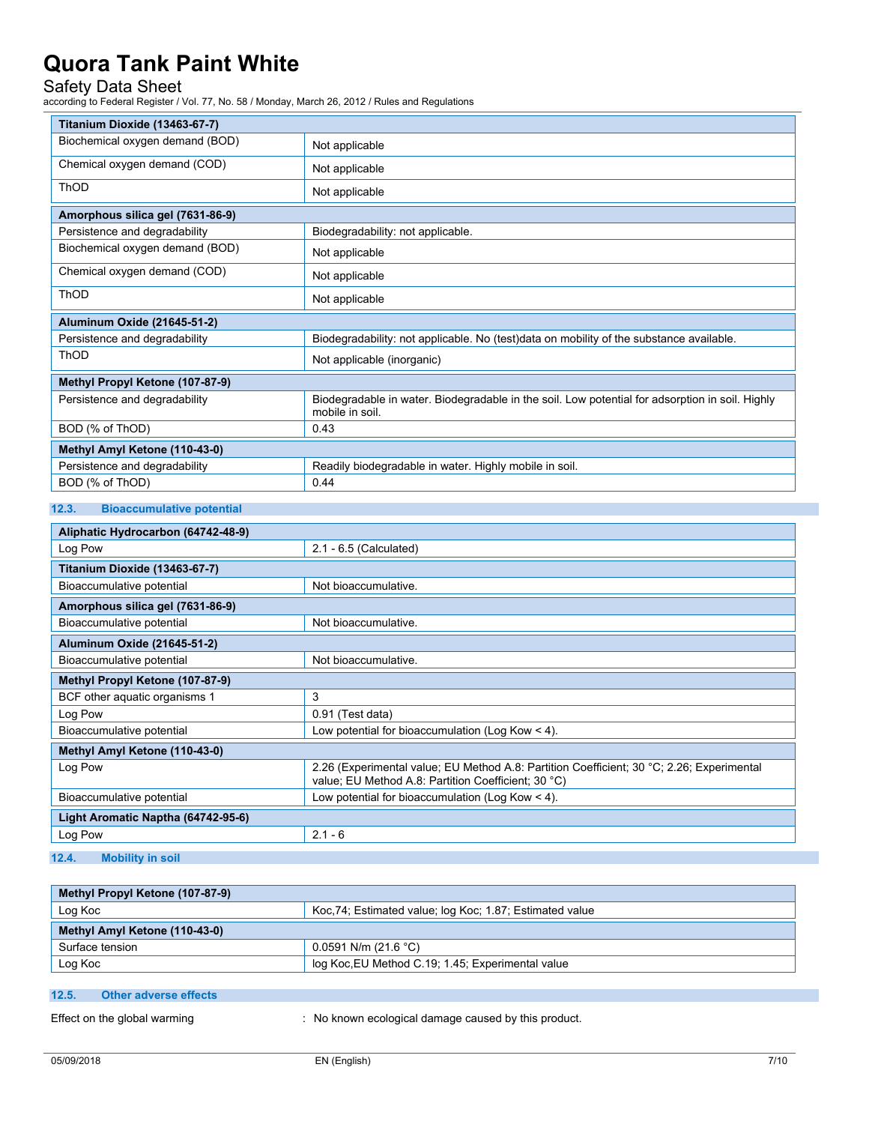### Safety Data Sheet

according to Federal Register / Vol. 77, No. 58 / Monday, March 26, 2012 / Rules and Regulations

| Titanium Dioxide (13463-67-7)    |                                                                                                                    |  |
|----------------------------------|--------------------------------------------------------------------------------------------------------------------|--|
| Biochemical oxygen demand (BOD)  | Not applicable                                                                                                     |  |
| Chemical oxygen demand (COD)     | Not applicable                                                                                                     |  |
| <b>ThOD</b>                      | Not applicable                                                                                                     |  |
| Amorphous silica gel (7631-86-9) |                                                                                                                    |  |
| Persistence and degradability    | Biodegradability: not applicable.                                                                                  |  |
| Biochemical oxygen demand (BOD)  | Not applicable                                                                                                     |  |
| Chemical oxygen demand (COD)     | Not applicable                                                                                                     |  |
| <b>ThOD</b>                      | Not applicable                                                                                                     |  |
| Aluminum Oxide (21645-51-2)      |                                                                                                                    |  |
| Persistence and degradability    | Biodegradability: not applicable. No (test)data on mobility of the substance available.                            |  |
| ThOD                             | Not applicable (inorganic)                                                                                         |  |
| Methyl Propyl Ketone (107-87-9)  |                                                                                                                    |  |
| Persistence and degradability    | Biodegradable in water. Biodegradable in the soil. Low potential for adsorption in soil. Highly<br>mobile in soil. |  |
| BOD (% of ThOD)                  | 0.43                                                                                                               |  |
| Methyl Amyl Ketone (110-43-0)    |                                                                                                                    |  |
| Persistence and degradability    | Readily biodegradable in water. Highly mobile in soil.                                                             |  |
| BOD (% of ThOD)                  | 0.44                                                                                                               |  |

### **12.3. Bioaccumulative potential**

| Aliphatic Hydrocarbon (64742-48-9) |                                                                                                                                                  |  |
|------------------------------------|--------------------------------------------------------------------------------------------------------------------------------------------------|--|
| Log Pow                            | 2.1 - 6.5 (Calculated)                                                                                                                           |  |
| Titanium Dioxide (13463-67-7)      |                                                                                                                                                  |  |
| Bioaccumulative potential          | Not bioaccumulative.                                                                                                                             |  |
| Amorphous silica gel (7631-86-9)   |                                                                                                                                                  |  |
| Bioaccumulative potential          | Not bioaccumulative.                                                                                                                             |  |
| Aluminum Oxide (21645-51-2)        |                                                                                                                                                  |  |
| Bioaccumulative potential          | Not bioaccumulative.                                                                                                                             |  |
| Methyl Propyl Ketone (107-87-9)    |                                                                                                                                                  |  |
| BCF other aquatic organisms 1      | 3                                                                                                                                                |  |
| Log Pow                            | 0.91 (Test data)                                                                                                                                 |  |
| Bioaccumulative potential          | Low potential for bioaccumulation (Log Kow $\leq$ 4).                                                                                            |  |
| Methyl Amyl Ketone (110-43-0)      |                                                                                                                                                  |  |
| Log Pow                            | 2.26 (Experimental value; EU Method A.8: Partition Coefficient; 30 °C; 2.26; Experimental<br>value; EU Method A.8: Partition Coefficient; 30 °C) |  |
| Bioaccumulative potential          | Low potential for bioaccumulation (Log Kow $<$ 4).                                                                                               |  |
| Light Aromatic Naptha (64742-95-6) |                                                                                                                                                  |  |
| Log Pow                            | $2.1 - 6$                                                                                                                                        |  |

### **12.4. Mobility in soil**

| Methyl Propyl Ketone (107-87-9)                                    |  |  |
|--------------------------------------------------------------------|--|--|
| Koc.74; Estimated value; log Koc; 1.87; Estimated value<br>Log Koc |  |  |
| Methyl Amyl Ketone (110-43-0)                                      |  |  |
| Surface tension<br>$0.0591$ N/m (21.6 °C)                          |  |  |
| Log Koc<br>log Koc, EU Method C.19; 1.45; Experimental value       |  |  |

### **12.5. Other adverse effects**

Effect on the global warming : No known ecological damage caused by this product.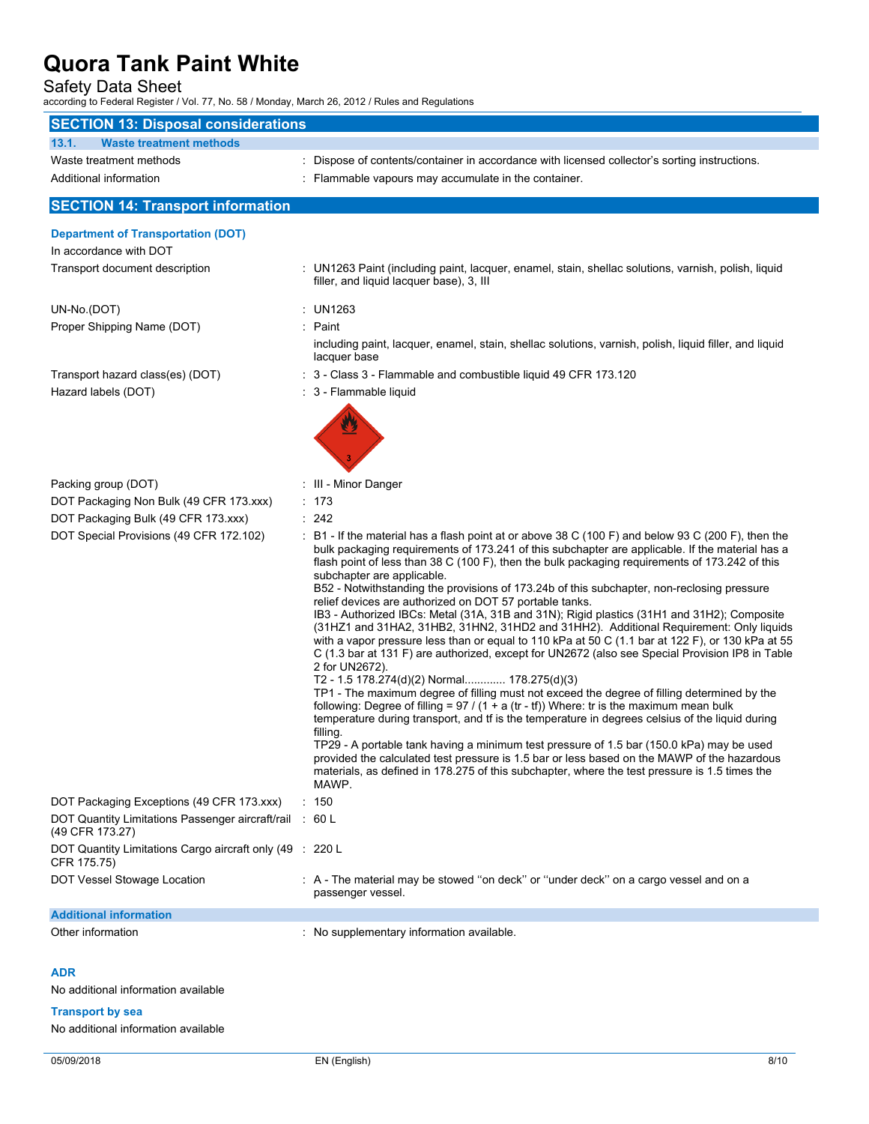## Safety Data Sheet

according to Federal Register / Vol. 77, No. 58 / Monday, March 26, 2012 / Rules and Regulations

| <b>SECTION 13: Disposal considerations</b>                                                                          |                                                                                                                                                                                                                                                                                                                                                                                                                                                                                                                                                                                                                                                                                                                                                                                                                                                                                                                                                                                                                                                                                                                                                                                                                                                                                                                                                                                                                                                                                                                                                                                     |
|---------------------------------------------------------------------------------------------------------------------|-------------------------------------------------------------------------------------------------------------------------------------------------------------------------------------------------------------------------------------------------------------------------------------------------------------------------------------------------------------------------------------------------------------------------------------------------------------------------------------------------------------------------------------------------------------------------------------------------------------------------------------------------------------------------------------------------------------------------------------------------------------------------------------------------------------------------------------------------------------------------------------------------------------------------------------------------------------------------------------------------------------------------------------------------------------------------------------------------------------------------------------------------------------------------------------------------------------------------------------------------------------------------------------------------------------------------------------------------------------------------------------------------------------------------------------------------------------------------------------------------------------------------------------------------------------------------------------|
| <b>Waste treatment methods</b><br>13.1.                                                                             |                                                                                                                                                                                                                                                                                                                                                                                                                                                                                                                                                                                                                                                                                                                                                                                                                                                                                                                                                                                                                                                                                                                                                                                                                                                                                                                                                                                                                                                                                                                                                                                     |
| Waste treatment methods                                                                                             | : Dispose of contents/container in accordance with licensed collector's sorting instructions.                                                                                                                                                                                                                                                                                                                                                                                                                                                                                                                                                                                                                                                                                                                                                                                                                                                                                                                                                                                                                                                                                                                                                                                                                                                                                                                                                                                                                                                                                       |
| Additional information                                                                                              | : Flammable vapours may accumulate in the container.                                                                                                                                                                                                                                                                                                                                                                                                                                                                                                                                                                                                                                                                                                                                                                                                                                                                                                                                                                                                                                                                                                                                                                                                                                                                                                                                                                                                                                                                                                                                |
| <b>SECTION 14: Transport information</b>                                                                            |                                                                                                                                                                                                                                                                                                                                                                                                                                                                                                                                                                                                                                                                                                                                                                                                                                                                                                                                                                                                                                                                                                                                                                                                                                                                                                                                                                                                                                                                                                                                                                                     |
|                                                                                                                     |                                                                                                                                                                                                                                                                                                                                                                                                                                                                                                                                                                                                                                                                                                                                                                                                                                                                                                                                                                                                                                                                                                                                                                                                                                                                                                                                                                                                                                                                                                                                                                                     |
| <b>Department of Transportation (DOT)</b>                                                                           |                                                                                                                                                                                                                                                                                                                                                                                                                                                                                                                                                                                                                                                                                                                                                                                                                                                                                                                                                                                                                                                                                                                                                                                                                                                                                                                                                                                                                                                                                                                                                                                     |
| In accordance with DOT                                                                                              |                                                                                                                                                                                                                                                                                                                                                                                                                                                                                                                                                                                                                                                                                                                                                                                                                                                                                                                                                                                                                                                                                                                                                                                                                                                                                                                                                                                                                                                                                                                                                                                     |
| Transport document description                                                                                      | : UN1263 Paint (including paint, lacquer, enamel, stain, shellac solutions, varnish, polish, liquid<br>filler, and liquid lacquer base), 3, III                                                                                                                                                                                                                                                                                                                                                                                                                                                                                                                                                                                                                                                                                                                                                                                                                                                                                                                                                                                                                                                                                                                                                                                                                                                                                                                                                                                                                                     |
| UN-No.(DOT)                                                                                                         | : UN1263                                                                                                                                                                                                                                                                                                                                                                                                                                                                                                                                                                                                                                                                                                                                                                                                                                                                                                                                                                                                                                                                                                                                                                                                                                                                                                                                                                                                                                                                                                                                                                            |
| Proper Shipping Name (DOT)                                                                                          | : Paint                                                                                                                                                                                                                                                                                                                                                                                                                                                                                                                                                                                                                                                                                                                                                                                                                                                                                                                                                                                                                                                                                                                                                                                                                                                                                                                                                                                                                                                                                                                                                                             |
|                                                                                                                     | including paint, lacquer, enamel, stain, shellac solutions, varnish, polish, liquid filler, and liquid<br>lacquer base                                                                                                                                                                                                                                                                                                                                                                                                                                                                                                                                                                                                                                                                                                                                                                                                                                                                                                                                                                                                                                                                                                                                                                                                                                                                                                                                                                                                                                                              |
| Transport hazard class(es) (DOT)                                                                                    | : 3 - Class 3 - Flammable and combustible liquid 49 CFR 173.120                                                                                                                                                                                                                                                                                                                                                                                                                                                                                                                                                                                                                                                                                                                                                                                                                                                                                                                                                                                                                                                                                                                                                                                                                                                                                                                                                                                                                                                                                                                     |
| Hazard labels (DOT)                                                                                                 | : 3 - Flammable liquid                                                                                                                                                                                                                                                                                                                                                                                                                                                                                                                                                                                                                                                                                                                                                                                                                                                                                                                                                                                                                                                                                                                                                                                                                                                                                                                                                                                                                                                                                                                                                              |
|                                                                                                                     |                                                                                                                                                                                                                                                                                                                                                                                                                                                                                                                                                                                                                                                                                                                                                                                                                                                                                                                                                                                                                                                                                                                                                                                                                                                                                                                                                                                                                                                                                                                                                                                     |
| Packing group (DOT)                                                                                                 | : III - Minor Danger                                                                                                                                                                                                                                                                                                                                                                                                                                                                                                                                                                                                                                                                                                                                                                                                                                                                                                                                                                                                                                                                                                                                                                                                                                                                                                                                                                                                                                                                                                                                                                |
| DOT Packaging Non Bulk (49 CFR 173.xxx)                                                                             | : 173                                                                                                                                                                                                                                                                                                                                                                                                                                                                                                                                                                                                                                                                                                                                                                                                                                                                                                                                                                                                                                                                                                                                                                                                                                                                                                                                                                                                                                                                                                                                                                               |
| DOT Packaging Bulk (49 CFR 173.xxx)                                                                                 | : 242                                                                                                                                                                                                                                                                                                                                                                                                                                                                                                                                                                                                                                                                                                                                                                                                                                                                                                                                                                                                                                                                                                                                                                                                                                                                                                                                                                                                                                                                                                                                                                               |
| DOT Special Provisions (49 CFR 172.102)                                                                             | $\pm$ B1 - If the material has a flash point at or above 38 C (100 F) and below 93 C (200 F), then the<br>bulk packaging requirements of 173.241 of this subchapter are applicable. If the material has a<br>flash point of less than 38 C (100 F), then the bulk packaging requirements of 173.242 of this<br>subchapter are applicable.<br>B52 - Notwithstanding the provisions of 173.24b of this subchapter, non-reclosing pressure<br>relief devices are authorized on DOT 57 portable tanks.<br>IB3 - Authorized IBCs: Metal (31A, 31B and 31N); Rigid plastics (31H1 and 31H2); Composite<br>(31HZ1 and 31HA2, 31HB2, 31HN2, 31HD2 and 31HH2). Additional Requirement: Only liquids<br>with a vapor pressure less than or equal to 110 kPa at 50 C (1.1 bar at 122 F), or 130 kPa at 55<br>C (1.3 bar at 131 F) are authorized, except for UN2672 (also see Special Provision IP8 in Table<br>2 for UN2672).<br>T2 - 1.5 178.274(d)(2) Normal 178.275(d)(3)<br>TP1 - The maximum degree of filling must not exceed the degree of filling determined by the<br>following: Degree of filling = $97 / (1 + a (tr - tf))$ Where: tr is the maximum mean bulk<br>temperature during transport, and if is the temperature in degrees celsius of the liquid during<br>filling.<br>TP29 - A portable tank having a minimum test pressure of 1.5 bar (150.0 kPa) may be used<br>provided the calculated test pressure is 1.5 bar or less based on the MAWP of the hazardous<br>materials, as defined in 178.275 of this subchapter, where the test pressure is 1.5 times the<br>MAWP. |
| DOT Packaging Exceptions (49 CFR 173.xxx)                                                                           | : 150                                                                                                                                                                                                                                                                                                                                                                                                                                                                                                                                                                                                                                                                                                                                                                                                                                                                                                                                                                                                                                                                                                                                                                                                                                                                                                                                                                                                                                                                                                                                                                               |
| DOT Quantity Limitations Passenger aircraft/rail : 60 L<br>(49 CFR 173.27)                                          |                                                                                                                                                                                                                                                                                                                                                                                                                                                                                                                                                                                                                                                                                                                                                                                                                                                                                                                                                                                                                                                                                                                                                                                                                                                                                                                                                                                                                                                                                                                                                                                     |
| DOT Quantity Limitations Cargo aircraft only (49 : 220 L<br>CFR 175.75)                                             |                                                                                                                                                                                                                                                                                                                                                                                                                                                                                                                                                                                                                                                                                                                                                                                                                                                                                                                                                                                                                                                                                                                                                                                                                                                                                                                                                                                                                                                                                                                                                                                     |
| DOT Vessel Stowage Location                                                                                         | : A - The material may be stowed "on deck" or "under deck" on a cargo vessel and on a<br>passenger vessel.                                                                                                                                                                                                                                                                                                                                                                                                                                                                                                                                                                                                                                                                                                                                                                                                                                                                                                                                                                                                                                                                                                                                                                                                                                                                                                                                                                                                                                                                          |
| <b>Additional information</b>                                                                                       |                                                                                                                                                                                                                                                                                                                                                                                                                                                                                                                                                                                                                                                                                                                                                                                                                                                                                                                                                                                                                                                                                                                                                                                                                                                                                                                                                                                                                                                                                                                                                                                     |
| Other information                                                                                                   | : No supplementary information available.                                                                                                                                                                                                                                                                                                                                                                                                                                                                                                                                                                                                                                                                                                                                                                                                                                                                                                                                                                                                                                                                                                                                                                                                                                                                                                                                                                                                                                                                                                                                           |
| <b>ADR</b><br>No additional information available<br><b>Transport by sea</b><br>No additional information available |                                                                                                                                                                                                                                                                                                                                                                                                                                                                                                                                                                                                                                                                                                                                                                                                                                                                                                                                                                                                                                                                                                                                                                                                                                                                                                                                                                                                                                                                                                                                                                                     |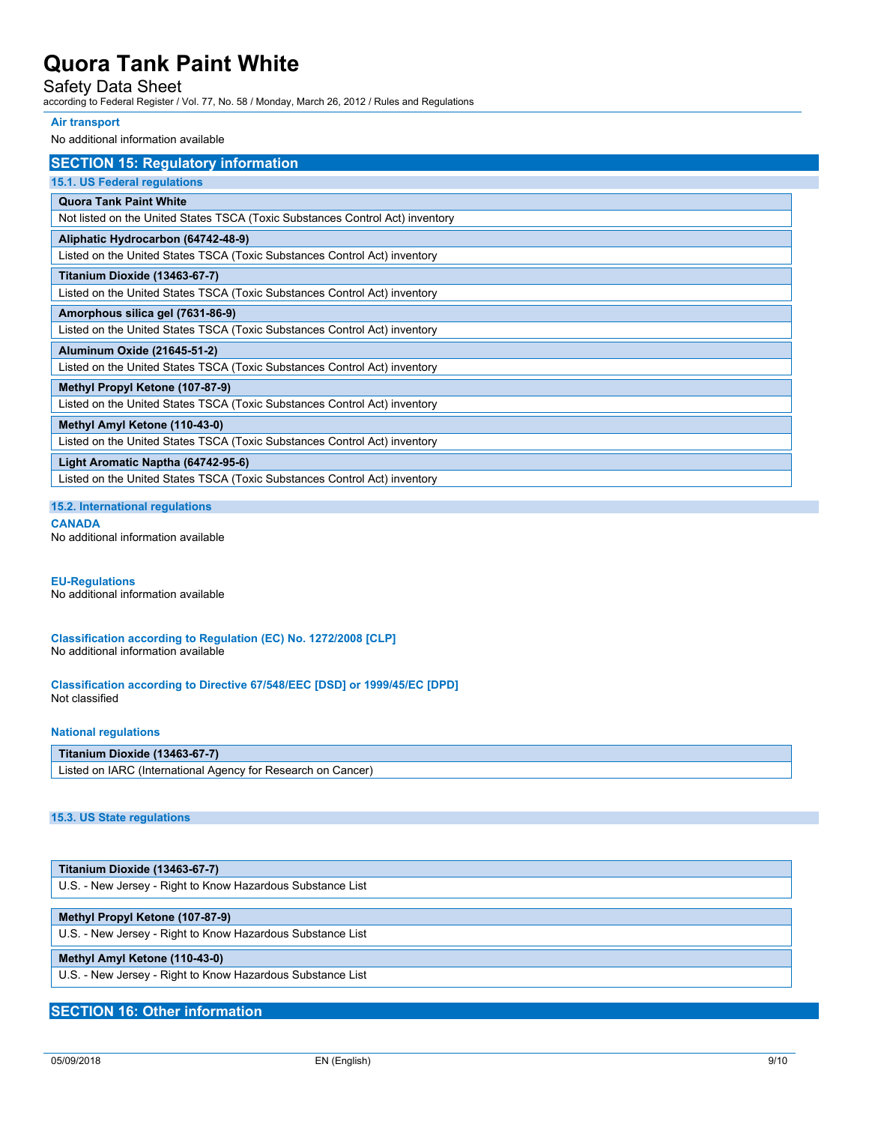## Safety Data Sheet

according to Federal Register / Vol. 77, No. 58 / Monday, March 26, 2012 / Rules and Regulations

#### **Air transport**

No additional information available

| <b>SECTION 15: Regulatory information</b>                                     |
|-------------------------------------------------------------------------------|
| 15.1. US Federal regulations                                                  |
| <b>Quora Tank Paint White</b>                                                 |
| Not listed on the United States TSCA (Toxic Substances Control Act) inventory |
| Aliphatic Hydrocarbon (64742-48-9)                                            |
| Listed on the United States TSCA (Toxic Substances Control Act) inventory     |
| Titanium Dioxide (13463-67-7)                                                 |
| Listed on the United States TSCA (Toxic Substances Control Act) inventory     |
| Amorphous silica gel (7631-86-9)                                              |
| Listed on the United States TSCA (Toxic Substances Control Act) inventory     |
| Aluminum Oxide (21645-51-2)                                                   |
| Listed on the United States TSCA (Toxic Substances Control Act) inventory     |
| Methyl Propyl Ketone (107-87-9)                                               |
| Listed on the United States TSCA (Toxic Substances Control Act) inventory     |
| Methyl Amyl Ketone (110-43-0)                                                 |
| Listed on the United States TSCA (Toxic Substances Control Act) inventory     |
| Light Aromatic Naptha (64742-95-6)                                            |
| Listed on the United States TSCA (Toxic Substances Control Act) inventory     |

**15.2. International regulations**

**CANADA** No additional information available

## **EU-Regulations**

No additional information available

**Classification according to Regulation (EC) No. 1272/2008 [CLP]** No additional information available

**Classification according to Directive 67/548/EEC [DSD] or 1999/45/EC [DPD]** Not classified

#### **National regulations**

#### **Titanium Dioxide (13463-67-7)**

Listed on IARC (International Agency for Research on Cancer)

### **15.3. US State regulations**

| <b>Titanium Dioxide (13463-67-7)</b>                       |  |
|------------------------------------------------------------|--|
| U.S. - New Jersey - Right to Know Hazardous Substance List |  |

### **Methyl Propyl Ketone (107-87-9)**

U.S. - New Jersey - Right to Know Hazardous Substance List

#### **Methyl Amyl Ketone (110-43-0)**

U.S. - New Jersey - Right to Know Hazardous Substance List

### **SECTION 16: Other information**